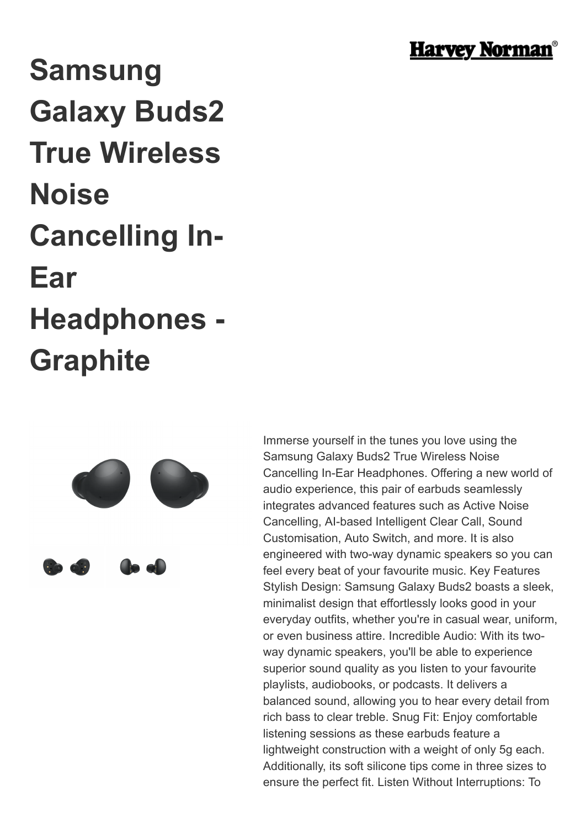

## **Samsung Galaxy Buds2 True Wireless Noise Cancelling In-Ear Headphones - Graphite**



Immerse yourself in the tunes you love using the Samsung Galaxy Buds2 True Wireless Noise Cancelling In-Ear Headphones. Offering a new world of audio experience, this pair of earbuds seamlessly integrates advanced features such as Active Noise Cancelling, AI-based Intelligent Clear Call, Sound Customisation, Auto Switch, and more. It is also engineered with two-way dynamic speakers so you can feel every beat of your favourite music. Key Features Stylish Design: Samsung Galaxy Buds2 boasts a sleek, minimalist design that effortlessly looks good in your everyday outfits, whether you're in casual wear, uniform, or even business attire. Incredible Audio: With its twoway dynamic speakers, you'll be able to experience superior sound quality as you listen to your favourite playlists, audiobooks, or podcasts. It delivers a balanced sound, allowing you to hear every detail from rich bass to clear treble. Snug Fit: Enjoy comfortable listening sessions as these earbuds feature a lightweight construction with a weight of only 5g each. Additionally, its soft silicone tips come in three sizes to ensure the perfect fit. Listen Without Interruptions: To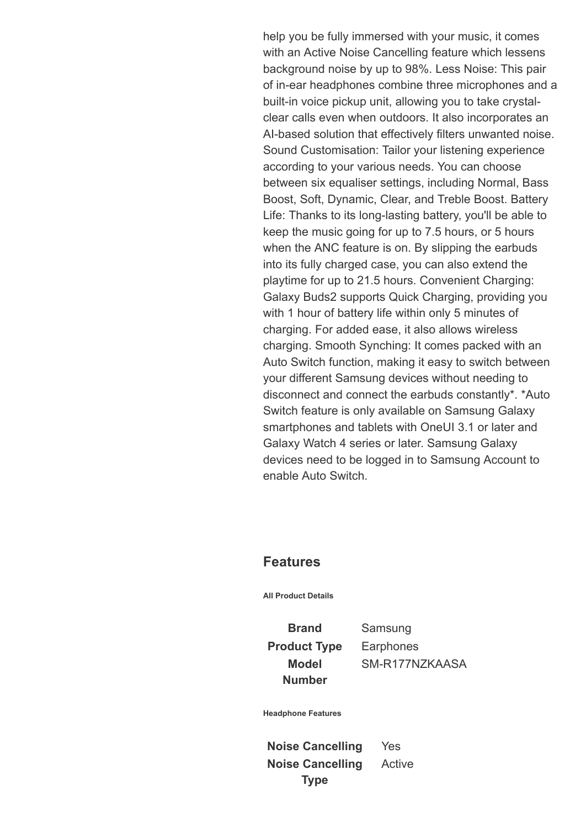help you be fully immersed with your music, it comes with an Active Noise Cancelling feature which lessens background noise by up to 98%. Less Noise: This pair of in-ear headphones combine three microphones and a built-in voice pickup unit, allowing you to take crystalclear calls even when outdoors. It also incorporates an AI-based solution that effectively filters unwanted noise. Sound Customisation: Tailor your listening experience according to your various needs. You can choose between six equaliser settings, including Normal, Bass Boost, Soft, Dynamic, Clear, and Treble Boost. Battery Life: Thanks to its long-lasting battery, you'll be able to keep the music going for up to 7.5 hours, or 5 hours when the ANC feature is on. By slipping the earbuds into its fully charged case, you can also extend the playtime for up to 21.5 hours. Convenient Charging: Galaxy Buds2 supports Quick Charging, providing you with 1 hour of battery life within only 5 minutes of charging. For added ease, it also allows wireless charging. Smooth Synching: It comes packed with an Auto Switch function, making it easy to switch between your different Samsung devices without needing to disconnect and connect the earbuds constantly\*. \*Auto Switch feature is only available on Samsung Galaxy smartphones and tablets with OneUI 3.1 or later and Galaxy Watch 4 series or later. Samsung Galaxy devices need to be logged in to Samsung Account to enable Auto Switch.

## **Features**

**All Product Details**

**Brand** Samsung **Product Type** Earphones **Model Number**

SM-R177NZKAASA

**Headphone Features**

**Noise Cancelling** Yes **Noise Cancelling Type** Active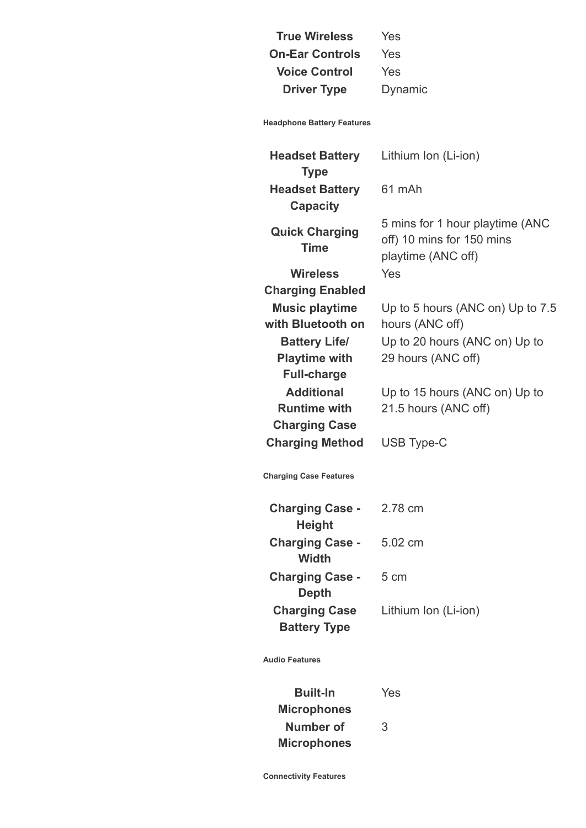**True Wireless** Yes **On-Ear Controls** Yes **Voice Control** Yes **Driver Type** Dynamic

**Headphone Battery Features**

**Headset Battery Type** Lithium Ion (Li-ion) **Headset Battery Capacity** 61 mAh **Quick Charging Time** 5 mins for 1 hour playtime (ANC off) 10 mins for 150 mins playtime (ANC off) **Wireless Charging Enabled** Yes **Music playtime with Bluetooth on** Up to 5 hours (ANC on) Up to 7.5 hours (ANC off) **Battery Life/ Playtime with Full-charge** Up to 20 hours (ANC on) Up to 29 hours (ANC off) **Additional Runtime with Charging Case** Up to 15 hours (ANC on) Up to 21.5 hours (ANC off) **Charging Method** USB Type-C **Charging Case Features Charging Case - Height** 2.78 cm **Charging Case - Width** 5.02 cm **Charging Case - Depth** 5 cm **Charging Case Battery Type** Lithium Ion (Li-ion) **Audio Features**

**Built-In Microphones** Yes **Number of Microphones** 3

**Connectivity Features**